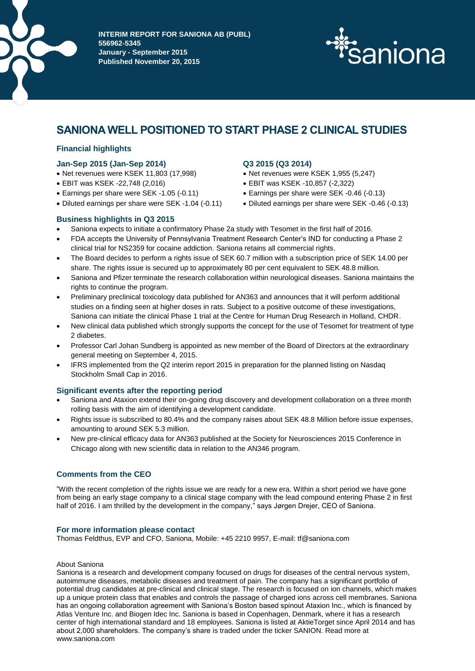

**INTERIM REPORT FOR SANIONA AB (PUBL) 556962-5345 January - September 2015 Published November 20, 2015**



# **SANIONA WELL POSITIONED TO START PHASE 2 CLINICAL STUDIES**

# **Financial highlights**

# **Jan-Sep 2015 (Jan-Sep 2014)**

- Net revenues were KSEK 11,803 (17,998)
- EBIT was KSEK -22,748 (2,016)
- Earnings per share were SEK -1.05 (-0.11)
- Diluted earnings per share were SEK -1.04 (-0.11)

# **Q3 2015 (Q3 2014)**

- Net revenues were KSEK 1,955 (5,247)
- EBIT was KSEK -10,857 (-2,322)
- Earnings per share were SEK -0.46 (-0.13)
- Diluted earnings per share were SEK -0.46 (-0.13)

# **Business highlights in Q3 2015**

- Saniona expects to initiate a confirmatory Phase 2a study with Tesomet in the first half of 2016.
- FDA accepts the University of Pennsylvania Treatment Research Center's IND for conducting a Phase 2 clinical trial for NS2359 for cocaine addiction. Saniona retains all commercial rights.
- The Board decides to perform a rights issue of SEK 60.7 million with a subscription price of SEK 14.00 per share. The rights issue is secured up to approximately 80 per cent equivalent to SEK 48.8 million.
- Saniona and Pfizer terminate the research collaboration within neurological diseases. Saniona maintains the rights to continue the program.
- Preliminary preclinical toxicology data published for AN363 and announces that it will perform additional studies on a finding seen at higher doses in rats. Subject to a positive outcome of these investigations, Saniona can initiate the clinical Phase 1 trial at the Centre for Human Drug Research in Holland, CHDR.
- New clinical data published which strongly supports the concept for the use of Tesomet for treatment of type 2 diabetes.
- Professor Carl Johan Sundberg is appointed as new member of the Board of Directors at the extraordinary general meeting on September 4, 2015.
- IFRS implemented from the Q2 interim report 2015 in preparation for the planned listing on Nasdaq Stockholm Small Cap in 2016.

# **Significant events after the reporting period**

- Saniona and Ataxion extend their on-going drug discovery and development collaboration on a three month rolling basis with the aim of identifying a development candidate.
- Rights issue is subscribed to 80.4% and the company raises about SEK 48.8 Million before issue expenses, amounting to around SEK 5.3 million.
- New pre-clinical efficacy data for AN363 published at the Society for Neurosciences 2015 Conference in Chicago along with new scientific data in relation to the AN346 program.

# **Comments from the CEO**

"With the recent completion of the rights issue we are ready for a new era. Within a short period we have gone from being an early stage company to a clinical stage company with the lead compound entering Phase 2 in first half of 2016. I am thrilled by the development in the company," says Jørgen Drejer, CEO of Saniona.

# **For more information please contact**

Thomas Feldthus, EVP and CFO, Saniona, Mobile: +45 2210 9957, E-mail: tf@saniona.com

# About Saniona

Saniona is a research and development company focused on drugs for diseases of the central nervous system, autoimmune diseases, metabolic diseases and treatment of pain. The company has a significant portfolio of potential drug candidates at pre-clinical and clinical stage. The research is focused on ion channels, which makes up a unique protein class that enables and controls the passage of charged ions across cell membranes. Saniona has an ongoing collaboration agreement with Saniona's Boston based spinout Ataxion Inc., which is financed by Atlas Venture Inc. and Biogen Idec Inc. Saniona is based in Copenhagen, Denmark, where it has a research center of high international standard and 18 employees. Saniona is listed at AktieTorget since April 2014 and has about 2,000 shareholders. The company's share is traded under the ticker SANION. Read more at www.saniona.com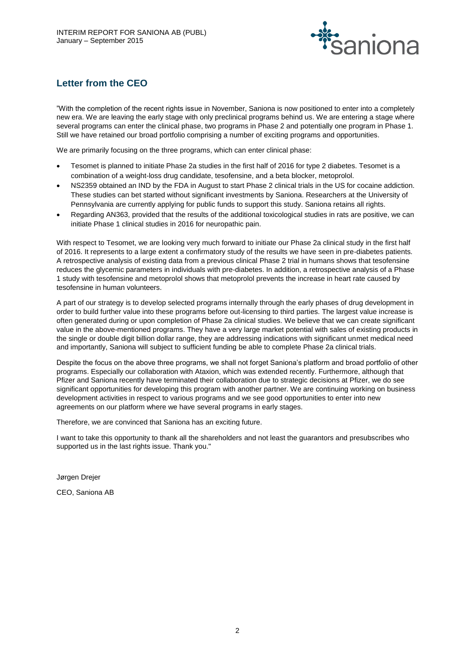

# **Letter from the CEO**

"With the completion of the recent rights issue in November, Saniona is now positioned to enter into a completely new era. We are leaving the early stage with only preclinical programs behind us. We are entering a stage where several programs can enter the clinical phase, two programs in Phase 2 and potentially one program in Phase 1. Still we have retained our broad portfolio comprising a number of exciting programs and opportunities.

We are primarily focusing on the three programs, which can enter clinical phase:

- Tesomet is planned to initiate Phase 2a studies in the first half of 2016 for type 2 diabetes. Tesomet is a combination of a weight-loss drug candidate, tesofensine, and a beta blocker, metoprolol.
- NS2359 obtained an IND by the FDA in August to start Phase 2 clinical trials in the US for cocaine addiction. These studies can bet started without significant investments by Saniona. Researchers at the University of Pennsylvania are currently applying for public funds to support this study. Saniona retains all rights.
- Regarding AN363, provided that the results of the additional toxicological studies in rats are positive, we can initiate Phase 1 clinical studies in 2016 for neuropathic pain.

With respect to Tesomet, we are looking very much forward to initiate our Phase 2a clinical study in the first half of 2016. It represents to a large extent a confirmatory study of the results we have seen in pre-diabetes patients. A retrospective analysis of existing data from a previous clinical Phase 2 trial in humans shows that tesofensine reduces the glycemic parameters in individuals with pre-diabetes. In addition, a retrospective analysis of a Phase 1 study with tesofensine and metoprolol shows that metoprolol prevents the increase in heart rate caused by tesofensine in human volunteers.

A part of our strategy is to develop selected programs internally through the early phases of drug development in order to build further value into these programs before out-licensing to third parties. The largest value increase is often generated during or upon completion of Phase 2a clinical studies. We believe that we can create significant value in the above-mentioned programs. They have a very large market potential with sales of existing products in the single or double digit billion dollar range, they are addressing indications with significant unmet medical need and importantly, Saniona will subject to sufficient funding be able to complete Phase 2a clinical trials.

Despite the focus on the above three programs, we shall not forget Saniona's platform and broad portfolio of other programs. Especially our collaboration with Ataxion, which was extended recently. Furthermore, although that Pfizer and Saniona recently have terminated their collaboration due to strategic decisions at Pfizer, we do see significant opportunities for developing this program with another partner. We are continuing working on business development activities in respect to various programs and we see good opportunities to enter into new agreements on our platform where we have several programs in early stages.

Therefore, we are convinced that Saniona has an exciting future.

I want to take this opportunity to thank all the shareholders and not least the guarantors and presubscribes who supported us in the last rights issue. Thank you."

Jørgen Drejer

CEO, Saniona AB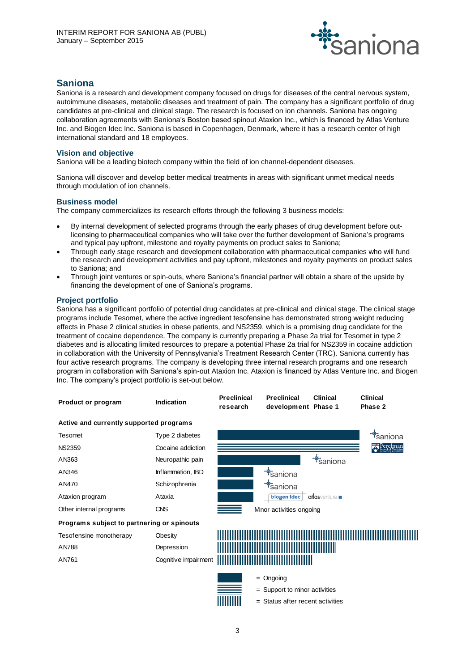

# **Saniona**

Saniona is a research and development company focused on drugs for diseases of the central nervous system, autoimmune diseases, metabolic diseases and treatment of pain. The company has a significant portfolio of drug candidates at pre-clinical and clinical stage. The research is focused on ion channels. Saniona has ongoing collaboration agreements with Saniona's Boston based spinout Ataxion Inc., which is financed by Atlas Venture Inc. and Biogen Idec Inc. Saniona is based in Copenhagen, Denmark, where it has a research center of high international standard and 18 employees.

# **Vision and objective**

Saniona will be a leading biotech company within the field of ion channel-dependent diseases.

Saniona will discover and develop better medical treatments in areas with significant unmet medical needs through modulation of ion channels.

# **Business model**

The company commercializes its research efforts through the following 3 business models:

- By internal development of selected programs through the early phases of drug development before outlicensing to pharmaceutical companies who will take over the further development of Saniona's programs and typical pay upfront, milestone and royalty payments on product sales to Saniona;
- Through early stage research and development collaboration with pharmaceutical companies who will fund the research and development activities and pay upfront, milestones and royalty payments on product sales to Saniona; and
- Through joint ventures or spin-outs, where Saniona's financial partner will obtain a share of the upside by financing the development of one of Saniona's programs.

# **Project portfolio**

Saniona has a significant portfolio of potential drug candidates at pre-clinical and clinical stage. The clinical stage programs include Tesomet, where the active ingredient tesofensine has demonstrated strong weight reducing effects in Phase 2 clinical studies in obese patients, and NS2359, which is a promising drug candidate for the treatment of cocaine dependence. The company is currently preparing a Phase 2a trial for Tesomet in type 2 diabetes and is allocating limited resources to prepare a potential Phase 2a trial for NS2359 in cocaine addiction in collaboration with the University of Pennsylvania's Treatment Research Center (TRC). Saniona currently has four active research programs. The company is developing three internal research programs and one research program in collaboration with Saniona's spin-out Ataxion Inc. Ataxion is financed by Atlas Venture Inc. and Biogen Inc. The company's project portfolio is set-out below.

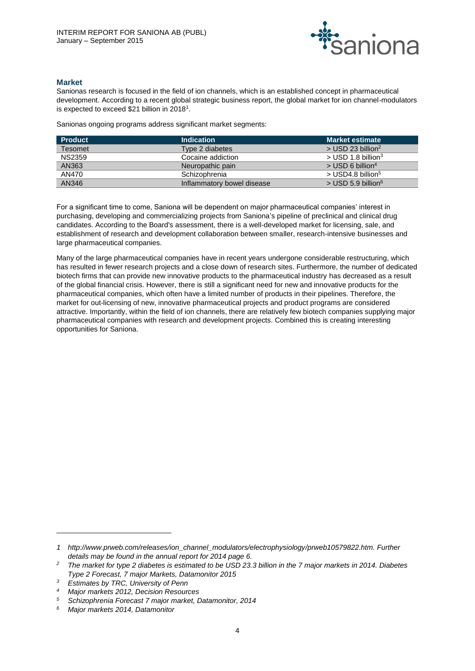

# **Market**

Sanionas research is focused in the field of ion channels, which is an established concept in pharmaceutical development. According to a recent global strategic business report, the global market for ion channel-modulators is expected to exceed \$21 billion in 2018<sup>1</sup>.

Sanionas ongoing programs address significant market segments:

| <b>Product</b> | <b>Indication</b>          | <b>Market estimate</b>           |
|----------------|----------------------------|----------------------------------|
| Tesomet        | Type 2 diabetes            | $>$ USD 23 billion <sup>2</sup>  |
| <b>NS2359</b>  | Cocaine addiction          | $>$ USD 1.8 billion <sup>3</sup> |
| AN363          | Neuropathic pain           | $>$ USD 6 billion <sup>4</sup>   |
| AN470          | Schizophrenia              | $>$ USD4.8 billion <sup>5</sup>  |
| AN346          | Inflammatory bowel disease | $>$ USD 5.9 billion <sup>6</sup> |

For a significant time to come, Saniona will be dependent on major pharmaceutical companies' interest in purchasing, developing and commercializing projects from Saniona's pipeline of preclinical and clinical drug candidates. According to the Board's assessment, there is a well-developed market for licensing, sale, and establishment of research and development collaboration between smaller, research-intensive businesses and large pharmaceutical companies.

Many of the large pharmaceutical companies have in recent years undergone considerable restructuring, which has resulted in fewer research projects and a close down of research sites. Furthermore, the number of dedicated biotech firms that can provide new innovative products to the pharmaceutical industry has decreased as a result of the global financial crisis. However, there is still a significant need for new and innovative products for the pharmaceutical companies, which often have a limited number of products in their pipelines. Therefore, the market for out-licensing of new, innovative pharmaceutical projects and product programs are considered attractive. Importantly, within the field of ion channels, there are relatively few biotech companies supplying major pharmaceutical companies with research and development projects. Combined this is creating interesting opportunities for Saniona.

 $\overline{a}$ 

*<sup>1</sup> [http://www.prweb.com/releases/ion\\_channel\\_modulators/electrophysiology/prweb10579822.htm.](http://www.prweb.com/releases/ion_channel_modulators/electrophysiology/prweb10579822.htm) Further details may be found in the annual report for 2014 page 6.*

*<sup>2</sup> The market for type 2 diabetes is estimated to be USD 23.3 billion in the 7 major markets in 2014. Diabetes Type 2 Forecast, 7 major Markets, Datamonitor 2015*

*<sup>3</sup> Estimates by TRC, University of Penn*

*<sup>4</sup> Major markets 2012, Decision Resources*

*<sup>5</sup> Schizophrenia Forecast 7 major market, Datamonitor, 2014*

*<sup>6</sup> Major markets 2014, Datamonitor*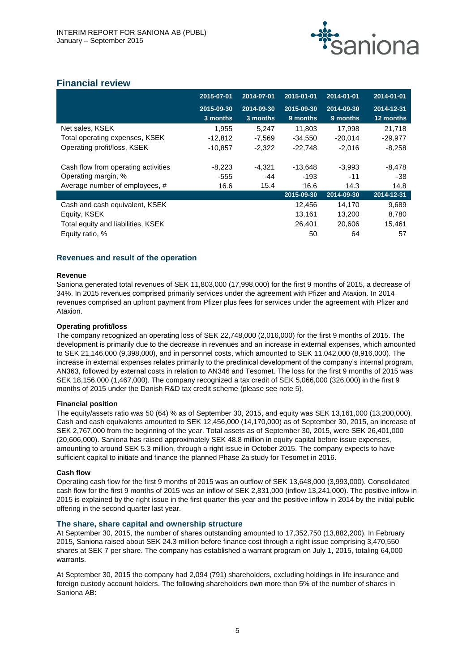

# **Financial review**

|                                     | 2015-07-01 | 2014-07-01 | 2015-01-01 | 2014-01-01 | 2014-01-01 |
|-------------------------------------|------------|------------|------------|------------|------------|
|                                     | 2015-09-30 | 2014-09-30 | 2015-09-30 | 2014-09-30 | 2014-12-31 |
|                                     | 3 months   | 3 months   | 9 months   | 9 months   | 12 months  |
| Net sales, KSEK                     | 1,955      | 5,247      | 11,803     | 17,998     | 21,718     |
| Total operating expenses, KSEK      | $-12,812$  | $-7.569$   | $-34.550$  | $-20.014$  | $-29,977$  |
| Operating profit/loss, KSEK         | $-10,857$  | $-2.322$   | $-22.748$  | $-2.016$   | $-8,258$   |
| Cash flow from operating activities | $-8,223$   | $-4.321$   | $-13.648$  | $-3,993$   | -8,478     |
| Operating margin, %                 | $-555$     | -44        | $-193$     | $-11$      | -38        |
| Average number of employees, #      | 16.6       | 15.4       | 16.6       | 14.3       | 14.8       |
|                                     |            |            | 2015-09-30 | 2014-09-30 | 2014-12-31 |
| Cash and cash equivalent, KSEK      |            |            | 12,456     | 14,170     | 9,689      |
| Equity, KSEK                        |            |            | 13,161     | 13,200     | 8,780      |
| Total equity and liabilities, KSEK  |            |            | 26,401     | 20,606     | 15,461     |
| Equity ratio, %                     |            |            | 50         | 64         | 57         |

# **Revenues and result of the operation**

#### **Revenue**

Saniona generated total revenues of SEK 11,803,000 (17,998,000) for the first 9 months of 2015, a decrease of 34%. In 2015 revenues comprised primarily services under the agreement with Pfizer and Ataxion. In 2014 revenues comprised an upfront payment from Pfizer plus fees for services under the agreement with Pfizer and Ataxion.

## **Operating profit/loss**

The company recognized an operating loss of SEK 22,748,000 (2,016,000) for the first 9 months of 2015. The development is primarily due to the decrease in revenues and an increase in external expenses, which amounted to SEK 21,146,000 (9,398,000), and in personnel costs, which amounted to SEK 11,042,000 (8,916,000). The increase in external expenses relates primarily to the preclinical development of the company's internal program, AN363, followed by external costs in relation to AN346 and Tesomet. The loss for the first 9 months of 2015 was SEK 18,156,000 (1,467,000). The company recognized a tax credit of SEK 5,066,000 (326,000) in the first 9 months of 2015 under the Danish R&D tax credit scheme (please see note 5).

#### **Financial position**

The equity/assets ratio was 50 (64) % as of September 30, 2015, and equity was SEK 13,161,000 (13,200,000). Cash and cash equivalents amounted to SEK 12,456,000 (14,170,000) as of September 30, 2015, an increase of SEK 2,767,000 from the beginning of the year. Total assets as of September 30, 2015, were SEK 26,401,000 (20,606,000). Saniona has raised approximately SEK 48.8 million in equity capital before issue expenses, amounting to around SEK 5.3 million, through a right issue in October 2015. The company expects to have sufficient capital to initiate and finance the planned Phase 2a study for Tesomet in 2016.

#### **Cash flow**

Operating cash flow for the first 9 months of 2015 was an outflow of SEK 13,648,000 (3,993,000). Consolidated cash flow for the first 9 months of 2015 was an inflow of SEK 2,831,000 (inflow 13,241,000). The positive inflow in 2015 is explained by the right issue in the first quarter this year and the positive inflow in 2014 by the initial public offering in the second quarter last year.

# **The share, share capital and ownership structure**

At September 30, 2015, the number of shares outstanding amounted to 17,352,750 (13,882,200). In February 2015, Saniona raised about SEK 24.3 million before finance cost through a right issue comprising 3,470,550 shares at SEK 7 per share. The company has established a warrant program on July 1, 2015, totaling 64,000 warrants.

At September 30, 2015 the company had 2,094 (791) shareholders, excluding holdings in life insurance and foreign custody account holders. The following shareholders own more than 5% of the number of shares in Saniona AB: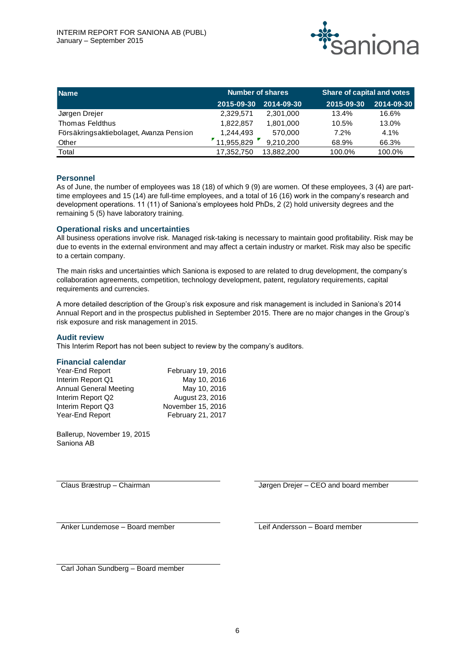

| <b>Name</b>                             | <b>Number of shares</b> |                  | Share of capital and votes |            |  |
|-----------------------------------------|-------------------------|------------------|----------------------------|------------|--|
|                                         | 2015-09-30              | $2014 - 09 - 30$ | 2015-09-30                 | 2014-09-30 |  |
| Jørgen Drejer                           | 2,329,571               | 2.301.000        | 13.4%                      | 16.6%      |  |
| Thomas Feldthus                         | 1.822.857               | 1,801,000        | 10.5%                      | 13.0%      |  |
| Försäkringsaktiebolaget, Avanza Pension | 1.244.493               | 570.000          | 7.2%                       | 4.1%       |  |
| Other                                   | 11,955,829              | 9,210,200        | 68.9%                      | 66.3%      |  |
| Total                                   | 17,352,750              | 13.882.200       | 100.0%                     | 100.0%     |  |

# **Personnel**

As of June, the number of employees was 18 (18) of which 9 (9) are women. Of these employees, 3 (4) are parttime employees and 15 (14) are full-time employees, and a total of 16 (16) work in the company's research and development operations. 11 (11) of Saniona's employees hold PhDs, 2 (2) hold university degrees and the remaining 5 (5) have laboratory training.

## **Operational risks and uncertainties**

All business operations involve risk. Managed risk-taking is necessary to maintain good profitability. Risk may be due to events in the external environment and may affect a certain industry or market. Risk may also be specific to a certain company.

The main risks and uncertainties which Saniona is exposed to are related to drug development, the company's collaboration agreements, competition, technology development, patent, regulatory requirements, capital requirements and currencies.

A more detailed description of the Group's risk exposure and risk management is included in Saniona's 2014 Annual Report and in the prospectus published in September 2015. There are no major changes in the Group's risk exposure and risk management in 2015.

#### **Audit review**

This Interim Report has not been subject to review by the company's auditors.

# **Financial calendar**

| Year-End Report               | February 19, 2016 |
|-------------------------------|-------------------|
| Interim Report Q1             | May 10, 2016      |
| <b>Annual General Meeting</b> | May 10, 2016      |
| Interim Report Q2             | August 23, 2016   |
| Interim Report Q3             | November 15, 2016 |
| Year-End Report               | February 21, 2017 |

Ballerup, November 19, 2015 Saniona AB

Claus Bræstrup – Chairman Jørgen Drejer – CEO and board member

Anker Lundemose – Board member The Leif Andersson – Board member

Carl Johan Sundberg – Board member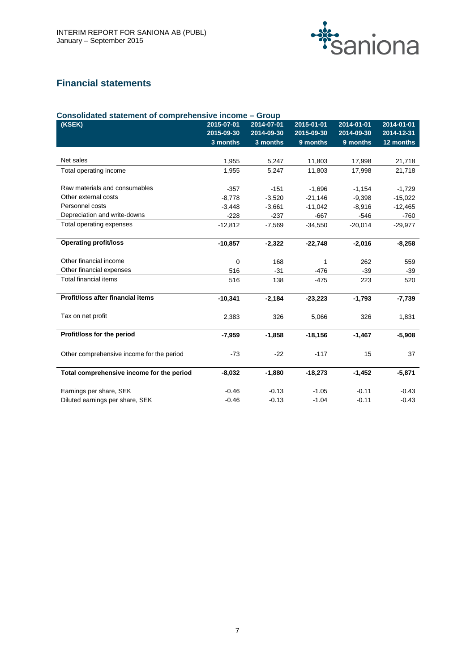

# **Financial statements**

| Consolidated statement of comprehensive income - Group |             |            |            |            |            |  |  |  |  |
|--------------------------------------------------------|-------------|------------|------------|------------|------------|--|--|--|--|
| (KSEK)                                                 | 2015-07-01  | 2014-07-01 | 2015-01-01 | 2014-01-01 | 2014-01-01 |  |  |  |  |
|                                                        | 2015-09-30  | 2014-09-30 | 2015-09-30 | 2014-09-30 | 2014-12-31 |  |  |  |  |
|                                                        | 3 months    | 3 months   | 9 months   | 9 months   | 12 months  |  |  |  |  |
|                                                        |             |            |            |            |            |  |  |  |  |
| Net sales                                              | 1,955       | 5,247      | 11,803     | 17,998     | 21,718     |  |  |  |  |
| Total operating income                                 | 1,955       | 5,247      | 11,803     | 17,998     | 21,718     |  |  |  |  |
|                                                        |             |            |            |            |            |  |  |  |  |
| Raw materials and consumables                          | $-357$      | $-151$     | $-1,696$   | $-1,154$   | $-1,729$   |  |  |  |  |
| Other external costs                                   | $-8,778$    | $-3,520$   | $-21.146$  | $-9,398$   | $-15,022$  |  |  |  |  |
| Personnel costs                                        | $-3,448$    | $-3,661$   | $-11,042$  | $-8,916$   | $-12,465$  |  |  |  |  |
| Depreciation and write-downs                           | $-228$      | $-237$     | $-667$     | $-546$     | $-760$     |  |  |  |  |
| Total operating expenses                               | $-12,812$   | $-7,569$   | $-34,550$  | $-20,014$  | $-29,977$  |  |  |  |  |
|                                                        |             |            |            |            |            |  |  |  |  |
| <b>Operating profit/loss</b>                           | $-10,857$   | $-2,322$   | $-22,748$  | $-2,016$   | $-8,258$   |  |  |  |  |
|                                                        |             |            |            |            |            |  |  |  |  |
| Other financial income                                 | $\mathbf 0$ | 168        | 1          | 262        | 559        |  |  |  |  |
| Other financial expenses                               | 516         | $-31$      | $-476$     | $-39$      | $-39$      |  |  |  |  |
| <b>Total financial items</b>                           | 516         | 138        | $-475$     | 223        | 520        |  |  |  |  |
|                                                        |             |            |            |            |            |  |  |  |  |
| Profit/loss after financial items                      | $-10,341$   | $-2,184$   | $-23,223$  | $-1,793$   | $-7,739$   |  |  |  |  |
|                                                        |             |            |            |            |            |  |  |  |  |
| Tax on net profit                                      | 2,383       | 326        | 5,066      | 326        | 1,831      |  |  |  |  |
|                                                        |             |            |            |            |            |  |  |  |  |
| Profit/loss for the period                             | $-7,959$    | $-1,858$   | $-18,156$  | $-1,467$   | $-5,908$   |  |  |  |  |
|                                                        |             |            |            |            |            |  |  |  |  |
| Other comprehensive income for the period              | $-73$       | $-22$      | $-117$     | 15         | 37         |  |  |  |  |
|                                                        |             |            |            |            |            |  |  |  |  |
| Total comprehensive income for the period              | $-8,032$    | $-1,880$   | $-18,273$  | $-1,452$   | $-5,871$   |  |  |  |  |
|                                                        |             |            |            |            |            |  |  |  |  |
| Earnings per share, SEK                                | $-0.46$     | $-0.13$    | $-1.05$    | $-0.11$    | $-0.43$    |  |  |  |  |
| Diluted earnings per share, SEK                        | $-0.46$     | $-0.13$    | $-1.04$    | $-0.11$    | $-0.43$    |  |  |  |  |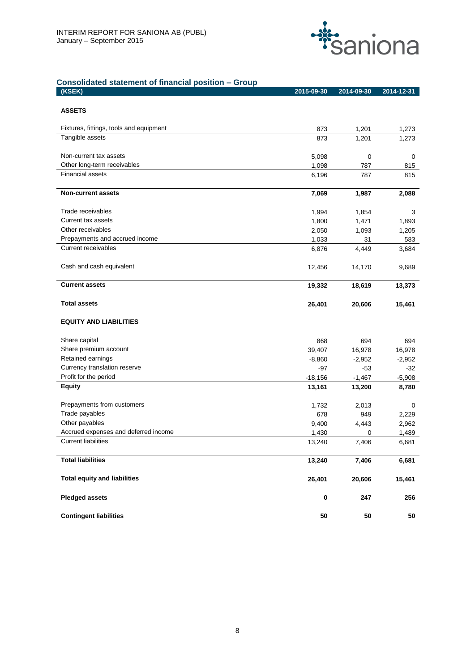

# **Consolidated statement of financial position – Group**

| (KSEK)                                  | 2015-09-30         | 2014-09-30         | 2014-12-31         |
|-----------------------------------------|--------------------|--------------------|--------------------|
|                                         |                    |                    |                    |
| <b>ASSETS</b>                           |                    |                    |                    |
| Fixtures, fittings, tools and equipment | 873                | 1,201              | 1,273              |
| Tangible assets                         | 873                | 1,201              | 1,273              |
|                                         |                    |                    |                    |
| Non-current tax assets                  | 5,098              | 0                  | 0                  |
| Other long-term receivables             | 1,098              | 787                | 815                |
| <b>Financial assets</b>                 | 6,196              | 787                | 815                |
| <b>Non-current assets</b>               | 7,069              | 1,987              | 2,088              |
| Trade receivables                       | 1,994              | 1,854              | 3                  |
| Current tax assets                      | 1,800              | 1,471              | 1,893              |
| Other receivables                       | 2,050              | 1,093              | 1,205              |
| Prepayments and accrued income          | 1,033              | 31                 | 583                |
| <b>Current receivables</b>              | 6,876              | 4,449              | 3,684              |
| Cash and cash equivalent                | 12,456             | 14,170             | 9,689              |
|                                         |                    |                    |                    |
| <b>Current assets</b>                   | 19,332             | 18,619             | 13,373             |
| <b>Total assets</b>                     | 26,401             | 20,606             | 15,461             |
| <b>EQUITY AND LIABILITIES</b>           |                    |                    |                    |
|                                         |                    |                    |                    |
| Share capital<br>Share premium account  | 868                | 694                | 694                |
| Retained earnings                       | 39,407<br>$-8,860$ | 16,978<br>$-2,952$ | 16,978<br>$-2,952$ |
| Currency translation reserve            | -97                | -53                | $-32$              |
| Profit for the period                   | $-18,156$          | $-1,467$           | $-5,908$           |
| <b>Equity</b>                           | 13,161             | 13,200             | 8,780              |
|                                         |                    |                    |                    |
| Prepayments from customers              | 1,732              | 2,013              | 0                  |
| Trade payables                          | 678                | 949                | 2,229              |
| Other payables                          | 9,400              | 4,443              | 2,962              |
| Accrued expenses and deferred income    | 1,430              | 0                  | 1,489              |
| <b>Current liabilities</b>              | 13,240             | 7,406              | 6,681              |
| <b>Total liabilities</b>                | 13,240             | 7,406              | 6,681              |
| <b>Total equity and liabilities</b>     | 26,401             | 20,606             | 15,461             |
| <b>Pledged assets</b>                   | $\bf{0}$           | 247                | 256                |
| <b>Contingent liabilities</b>           | 50                 | ${\bf 50}$         | 50                 |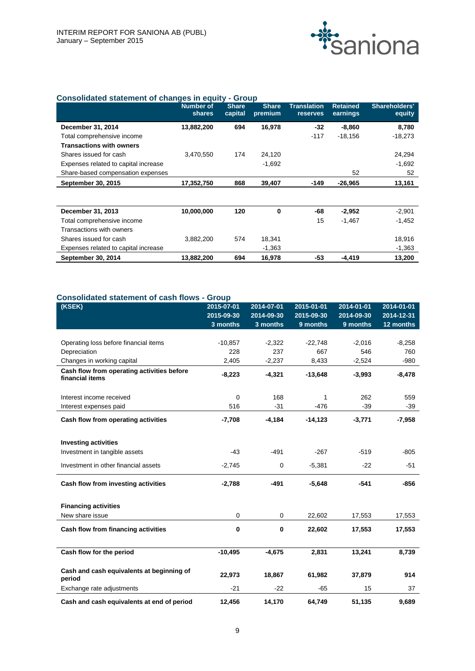

# **Consolidated statement of changes in equity - Group**

|                                      | <b>Number of</b><br>shares | <b>Share</b><br>capital | <b>Share</b><br>premium | <b>Translation</b><br>reserves | <b>Retained</b><br>earnings | Shareholders'<br>equity |
|--------------------------------------|----------------------------|-------------------------|-------------------------|--------------------------------|-----------------------------|-------------------------|
| December 31, 2014                    | 13,882,200                 | 694                     | 16,978                  | $-32$                          | $-8,860$                    | 8,780                   |
| Total comprehensive income           |                            |                         |                         | $-117$                         | $-18,156$                   | $-18,273$               |
| <b>Transactions with owners</b>      |                            |                         |                         |                                |                             |                         |
| Shares issued for cash               | 3,470,550                  | 174                     | 24,120                  |                                |                             | 24,294                  |
| Expenses related to capital increase |                            |                         | $-1,692$                |                                |                             | $-1,692$                |
| Share-based compensation expenses    |                            |                         |                         |                                | 52                          | 52                      |
| September 30, 2015                   | 17,352,750                 | 868                     | 39,407                  | $-149$                         | $-26,965$                   | 13,161                  |
|                                      |                            |                         |                         |                                |                             |                         |
| December 31, 2013                    | 10,000,000                 | 120                     | 0                       | -68                            | $-2,952$                    | $-2,901$                |
| Total comprehensive income           |                            |                         |                         | 15                             | $-1,467$                    | $-1,452$                |
| Transactions with owners             |                            |                         |                         |                                |                             |                         |
| Shares issued for cash               | 3,882,200                  | 574                     | 18,341                  |                                |                             | 18,916                  |
| Expenses related to capital increase |                            |                         | $-1,363$                |                                |                             | $-1,363$                |
| September 30, 2014                   | 13,882,200                 | 694                     | 16,978                  | -53                            | $-4,419$                    | 13,200                  |

#### **Consolidated statement of cash flows - Group**

| (KSEK)                                                        | 2015-07-01  | 2014-07-01  | 2015-01-01 | 2014-01-01 | 2014-01-01 |
|---------------------------------------------------------------|-------------|-------------|------------|------------|------------|
|                                                               | 2015-09-30  | 2014-09-30  | 2015-09-30 | 2014-09-30 | 2014-12-31 |
|                                                               | 3 months    | 3 months    | 9 months   | 9 months   | 12 months  |
|                                                               |             |             |            |            |            |
| Operating loss before financial items                         | $-10,857$   | $-2,322$    | $-22,748$  | $-2,016$   | $-8,258$   |
| Depreciation                                                  | 228         | 237         | 667        | 546        | 760        |
| Changes in working capital                                    | 2,405       | $-2,237$    | 8,433      | $-2,524$   | $-980$     |
| Cash flow from operating activities before<br>financial items | $-8,223$    | $-4,321$    | $-13,648$  | $-3,993$   | $-8,478$   |
| Interest income received                                      | $\mathbf 0$ | 168         | 1          | 262        | 559        |
| Interest expenses paid                                        | 516         | $-31$       | -476       | $-39$      | $-39$      |
| Cash flow from operating activities                           | $-7,708$    | $-4,184$    | $-14,123$  | $-3,771$   | $-7,958$   |
|                                                               |             |             |            |            |            |
| <b>Investing activities</b>                                   |             |             |            |            |            |
| Investment in tangible assets                                 | $-43$       | $-491$      | $-267$     | $-519$     | $-805$     |
| Investment in other financial assets                          | $-2,745$    | $\mathbf 0$ | $-5,381$   | $-22$      | $-51$      |
| Cash flow from investing activities                           | $-2,788$    | $-491$      | $-5,648$   | $-541$     | $-856$     |
| <b>Financing activities</b>                                   |             |             |            |            |            |
| New share issue                                               | 0           | 0           | 22,602     | 17,553     | 17,553     |
| Cash flow from financing activities                           | 0           | 0           | 22,602     | 17,553     | 17,553     |
| Cash flow for the period                                      | $-10,495$   | $-4,675$    | 2,831      | 13,241     | 8,739      |
|                                                               |             |             |            |            |            |
| Cash and cash equivalents at beginning of<br>period           | 22,973      | 18,867      | 61,982     | 37,879     | 914        |
| Exchange rate adjustments                                     | $-21$       | $-22$       | $-65$      | 15         | 37         |
| Cash and cash equivalents at end of period                    | 12,456      | 14,170      | 64,749     | 51,135     | 9,689      |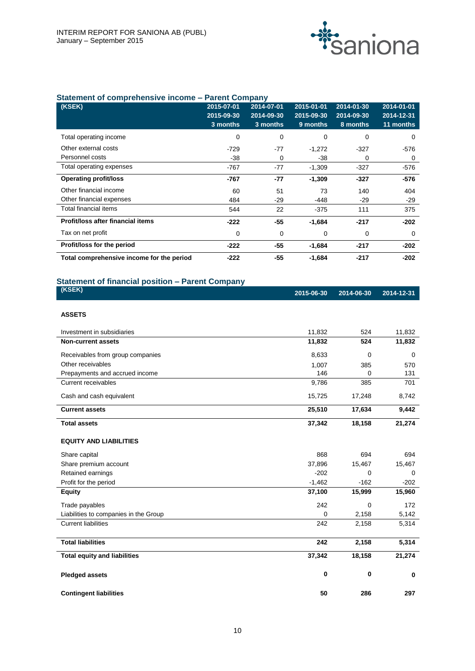

# **Statement of comprehensive income – Parent Company**

| (KSEK)                                    | 2015-07-01 | 2014-07-01 | 2015-01-01 | 2014-01-30 | 2014-01-01 |
|-------------------------------------------|------------|------------|------------|------------|------------|
|                                           | 2015-09-30 | 2014-09-30 | 2015-09-30 | 2014-09-30 | 2014-12-31 |
|                                           | 3 months   | 3 months   | 9 months   | 8 months   | 11 months  |
| Total operating income                    | 0          | 0          | 0          | 0          | 0          |
| Other external costs                      | $-729$     | -77        | $-1,272$   | $-327$     | -576       |
| Personnel costs                           | $-38$      | 0          | -38        | 0          | 0          |
| Total operating expenses                  | $-767$     | $-77$      | $-1,309$   | $-327$     | $-576$     |
| <b>Operating profit/loss</b>              | -767       | -77        | $-1,309$   | $-327$     | $-576$     |
| Other financial income                    | 60         | 51         | 73         | 140        | 404        |
| Other financial expenses                  | 484        | $-29$      | $-448$     | $-29$      | $-29$      |
| Total financial items                     | 544        | 22         | -375       | 111        | 375        |
| <b>Profit/loss after financial items</b>  | $-222$     | $-55$      | $-1,684$   | $-217$     | $-202$     |
| Tax on net profit                         | 0          | 0          | 0          | 0          | 0          |
| Profit/loss for the period                | $-222$     | -55        | $-1,684$   | $-217$     | $-202$     |
| Total comprehensive income for the period | $-222$     | -55        | $-1,684$   | $-217$     | -202       |

# **Statement of financial position – Parent Company**

| (KSEK)                                | 2015-06-30 | 2014-06-30 | 2014-12-31 |
|---------------------------------------|------------|------------|------------|
| <b>ASSETS</b>                         |            |            |            |
|                                       |            |            |            |
| Investment in subsidiaries            | 11,832     | 524        | 11,832     |
| <b>Non-current assets</b>             | 11,832     | 524        | 11,832     |
| Receivables from group companies      | 8,633      | 0          | 0          |
| Other receivables                     | 1,007      | 385        | 570        |
| Prepayments and accrued income        | 146        | $\Omega$   | 131        |
| Current receivables                   | 9,786      | 385        | 701        |
| Cash and cash equivalent              | 15,725     | 17,248     | 8,742      |
| <b>Current assets</b>                 | 25,510     | 17,634     | 9,442      |
| <b>Total assets</b>                   | 37,342     | 18,158     | 21,274     |
| <b>EQUITY AND LIABILITIES</b>         |            |            |            |
| Share capital                         | 868        | 694        | 694        |
| Share premium account                 | 37,896     | 15,467     | 15,467     |
| Retained earnings                     | $-202$     | 0          | 0          |
| Profit for the period                 | $-1,462$   | $-162$     | $-202$     |
| <b>Equity</b>                         | 37,100     | 15,999     | 15,960     |
| Trade payables                        | 242        | 0          | 172        |
| Liabilities to companies in the Group | 0          | 2,158      | 5,142      |
| <b>Current liabilities</b>            | 242        | 2,158      | 5,314      |
| <b>Total liabilities</b>              | 242        | 2,158      | 5,314      |
| <b>Total equity and liabilities</b>   | 37,342     | 18,158     | 21,274     |
| <b>Pledged assets</b>                 | 0          | 0          | 0          |
| <b>Contingent liabilities</b>         | 50         | 286        | 297        |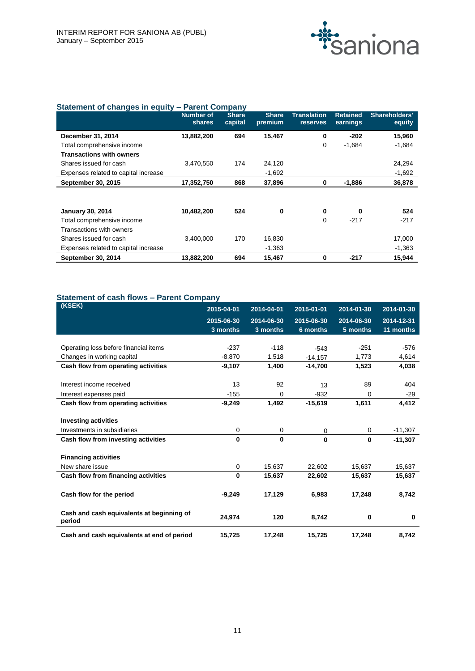

# **Statement of changes in equity – Parent Company**

|                                      | <b>Number of</b><br><b>shares</b> | <b>Share</b><br>capital | <b>Share</b><br>premium | <b>Translation</b><br><b>reserves</b> | <b>Retained</b><br>earnings | Shareholders'<br>equity |
|--------------------------------------|-----------------------------------|-------------------------|-------------------------|---------------------------------------|-----------------------------|-------------------------|
| December 31, 2014                    | 13,882,200                        | 694                     | 15.467                  | 0                                     | $-202$                      | 15,960                  |
| Total comprehensive income           |                                   |                         |                         | 0                                     | $-1,684$                    | $-1,684$                |
| <b>Transactions with owners</b>      |                                   |                         |                         |                                       |                             |                         |
| Shares issued for cash               | 3,470,550                         | 174                     | 24,120                  |                                       |                             | 24,294                  |
| Expenses related to capital increase |                                   |                         | $-1,692$                |                                       |                             | $-1,692$                |
| September 30, 2015                   | 17,352,750                        | 868                     | 37,896                  | 0                                     | -1,886                      | 36,878                  |
|                                      |                                   |                         |                         |                                       |                             |                         |
| <b>January 30, 2014</b>              | 10,482,200                        | 524                     | 0                       | $\bf{0}$                              | $\bf{0}$                    | 524                     |
| Total comprehensive income           |                                   |                         |                         | 0                                     | $-217$                      | $-217$                  |
| Transactions with owners             |                                   |                         |                         |                                       |                             |                         |
| Shares issued for cash               | 3.400.000                         | 170                     | 16,830                  |                                       |                             | 17,000                  |
| Expenses related to capital increase |                                   |                         | $-1,363$                |                                       |                             | $-1,363$                |
| September 30, 2014                   | 13,882,200                        | 694                     | 15,467                  | 0                                     | $-217$                      | 15,944                  |

# **Statement of cash flows – Parent Company**

| (KSEK)                                              | 2015-04-01  | 2014-04-01  | 2015-01-01  | 2014-01-30  | 2014-01-30 |
|-----------------------------------------------------|-------------|-------------|-------------|-------------|------------|
|                                                     | 2015-06-30  | 2014-06-30  | 2015-06-30  | 2014-06-30  | 2014-12-31 |
|                                                     | 3 months    | 3 months    | 6 months    | 5 months    | 11 months  |
|                                                     |             |             |             |             |            |
| Operating loss before financial items               | $-237$      | $-118$      | $-543$      | $-251$      | $-576$     |
| Changes in working capital                          | $-8,870$    | 1,518       | $-14,157$   | 1,773       | 4,614      |
| Cash flow from operating activities                 | $-9,107$    | 1,400       | $-14.700$   | 1,523       | 4,038      |
| Interest income received                            | 13          | 92          | 13          | 89          | 404        |
| Interest expenses paid                              | $-155$      | 0           | $-932$      | 0           | $-29$      |
| Cash flow from operating activities                 | $-9,249$    | 1,492       | $-15,619$   | 1,611       | 4,412      |
| <b>Investing activities</b>                         |             |             |             |             |            |
| Investments in subsidiaries                         | 0           | 0           | 0           | 0           | $-11,307$  |
| Cash flow from investing activities                 | $\bf{0}$    | $\mathbf 0$ | $\mathbf 0$ | $\mathbf 0$ | $-11,307$  |
| <b>Financing activities</b>                         |             |             |             |             |            |
| New share issue                                     | $\mathbf 0$ | 15,637      | 22,602      | 15,637      | 15,637     |
| Cash flow from financing activities                 | $\bf{0}$    | 15,637      | 22,602      | 15,637      | 15,637     |
| Cash flow for the period                            | $-9,249$    | 17,129      | 6,983       | 17,248      | 8,742      |
| Cash and cash equivalents at beginning of<br>period | 24,974      | 120         | 8,742       | $\bf{0}$    | 0          |
| Cash and cash equivalents at end of period          | 15,725      | 17,248      | 15,725      | 17,248      | 8,742      |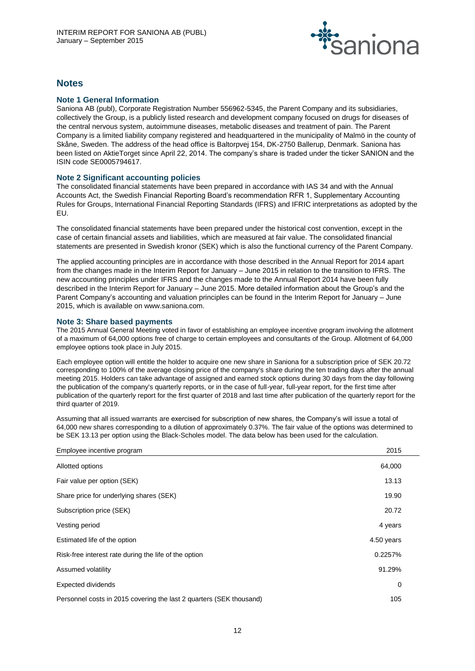

# **Notes**

# **Note 1 General Information**

Saniona AB (publ), Corporate Registration Number 556962-5345, the Parent Company and its subsidiaries, collectively the Group, is a publicly listed research and development company focused on drugs for diseases of the central nervous system, autoimmune diseases, metabolic diseases and treatment of pain. The Parent Company is a limited liability company registered and headquartered in the municipality of Malmö in the county of Skåne, Sweden. The address of the head office is Baltorpvej 154, DK-2750 Ballerup, Denmark. Saniona has been listed on AktieTorget since April 22, 2014. The company's share is traded under the ticker SANION and the ISIN code SE0005794617.

## **Note 2 Significant accounting policies**

The consolidated financial statements have been prepared in accordance with IAS 34 and with the Annual Accounts Act, the Swedish Financial Reporting Board's recommendation RFR 1, Supplementary Accounting Rules for Groups, International Financial Reporting Standards (IFRS) and IFRIC interpretations as adopted by the EU.

The consolidated financial statements have been prepared under the historical cost convention, except in the case of certain financial assets and liabilities, which are measured at fair value. The consolidated financial statements are presented in Swedish kronor (SEK) which is also the functional currency of the Parent Company.

The applied accounting principles are in accordance with those described in the Annual Report for 2014 apart from the changes made in the Interim Report for January – June 2015 in relation to the transition to IFRS. The new accounting principles under IFRS and the changes made to the Annual Report 2014 have been fully described in the Interim Report for January – June 2015. More detailed information about the Group's and the Parent Company's accounting and valuation principles can be found in the Interim Report for January – June 2015, which is available on www.saniona.com.

#### **Note 3: Share based payments**

The 2015 Annual General Meeting voted in favor of establishing an employee incentive program involving the allotment of a maximum of 64,000 options free of charge to certain employees and consultants of the Group. Allotment of 64,000 employee options took place in July 2015.

Each employee option will entitle the holder to acquire one new share in Saniona for a subscription price of SEK 20.72 corresponding to 100% of the average closing price of the company's share during the ten trading days after the annual meeting 2015. Holders can take advantage of assigned and earned stock options during 30 days from the day following the publication of the company's quarterly reports, or in the case of full-year, full-year report, for the first time after publication of the quarterly report for the first quarter of 2018 and last time after publication of the quarterly report for the third quarter of 2019.

Assuming that all issued warrants are exercised for subscription of new shares, the Company's will issue a total of 64,000 new shares corresponding to a dilution of approximately 0.37%. The fair value of the options was determined to be SEK 13.13 per option using the Black-Scholes model. The data below has been used for the calculation.

| Employee incentive program                                          | 2015       |  |
|---------------------------------------------------------------------|------------|--|
| Allotted options                                                    | 64,000     |  |
| Fair value per option (SEK)                                         | 13.13      |  |
| Share price for underlying shares (SEK)                             | 19.90      |  |
| Subscription price (SEK)                                            | 20.72      |  |
| Vesting period                                                      | 4 years    |  |
| Estimated life of the option                                        | 4.50 years |  |
| Risk-free interest rate during the life of the option               | 0.2257%    |  |
| Assumed volatility                                                  | 91.29%     |  |
| Expected dividends                                                  | 0          |  |
| Personnel costs in 2015 covering the last 2 quarters (SEK thousand) | 105        |  |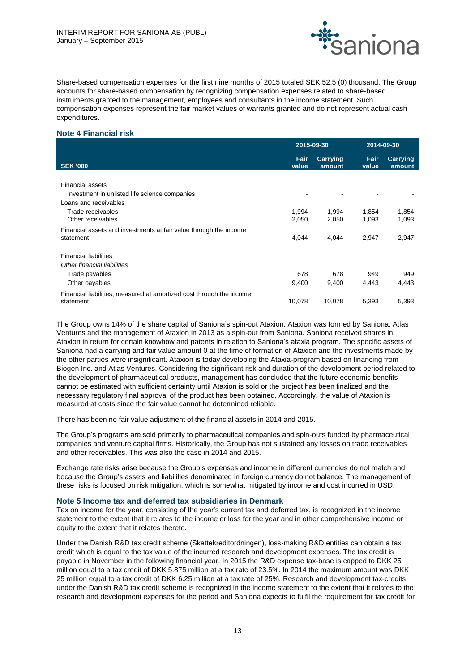

Share-based compensation expenses for the first nine months of 2015 totaled SEK 52.5 (0) thousand. The Group accounts for share-based compensation by recognizing compensation expenses related to share-based instruments granted to the management, employees and consultants in the income statement. Such compensation expenses represent the fair market values of warrants granted and do not represent actual cash expenditures.

# **Note 4 Financial risk**

|                                                                      |               | 2015-09-30         |                      | 2014-09-30                |  |
|----------------------------------------------------------------------|---------------|--------------------|----------------------|---------------------------|--|
| <b>SEK '000</b>                                                      | Fair<br>value | Carrying<br>amount | <b>Fair</b><br>value | <b>Carrying</b><br>amount |  |
|                                                                      |               |                    |                      |                           |  |
| <b>Financial assets</b>                                              |               |                    |                      |                           |  |
| Investment in unlisted life science companies                        |               |                    |                      |                           |  |
| Loans and receivables                                                |               |                    |                      |                           |  |
| Trade receivables                                                    | 1,994         | 1,994              | 1,854                | 1,854                     |  |
| Other receivables                                                    | 2,050         | 2,050              | 1,093                | 1,093                     |  |
| Financial assets and investments at fair value through the income    |               |                    |                      |                           |  |
| statement                                                            | 4,044         | 4,044              | 2,947                | 2,947                     |  |
|                                                                      |               |                    |                      |                           |  |
| <b>Financial liabilities</b>                                         |               |                    |                      |                           |  |
| Other financial liabilities                                          |               |                    |                      |                           |  |
| Trade payables                                                       | 678           | 678                | 949                  | 949                       |  |
| Other payables                                                       | 9,400         | 9,400              | 4,443                | 4,443                     |  |
| Financial liabilities, measured at amortized cost through the income |               |                    |                      |                           |  |
| statement                                                            | 10,078        | 10,078             | 5,393                | 5,393                     |  |

The Group owns 14% of the share capital of Saniona's spin-out Ataxion. Ataxion was formed by Saniona, Atlas Ventures and the management of Ataxion in 2013 as a spin-out from Saniona. Saniona received shares in Ataxion in return for certain knowhow and patents in relation to Saniona's ataxia program. The specific assets of Saniona had a carrying and fair value amount 0 at the time of formation of Ataxion and the investments made by the other parties were insignificant. Ataxion is today developing the Ataxia-program based on financing from Biogen Inc. and Atlas Ventures. Considering the significant risk and duration of the development period related to the development of pharmaceutical products, management has concluded that the future economic benefits cannot be estimated with sufficient certainty until Ataxion is sold or the project has been finalized and the necessary regulatory final approval of the product has been obtained. Accordingly, the value of Ataxion is measured at costs since the fair value cannot be determined reliable.

There has been no fair value adjustment of the financial assets in 2014 and 2015.

The Group's programs are sold primarily to pharmaceutical companies and spin-outs funded by pharmaceutical companies and venture capital firms. Historically, the Group has not sustained any losses on trade receivables and other receivables. This was also the case in 2014 and 2015.

Exchange rate risks arise because the Group's expenses and income in different currencies do not match and because the Group's assets and liabilities denominated in foreign currency do not balance. The management of these risks is focused on risk mitigation, which is somewhat mitigated by income and cost incurred in USD.

# **Note 5 Income tax and deferred tax subsidiaries in Denmark**

Tax on income for the year, consisting of the year's current tax and deferred tax, is recognized in the income statement to the extent that it relates to the income or loss for the year and in other comprehensive income or equity to the extent that it relates thereto.

Under the Danish R&D tax credit scheme (Skattekreditordningen), loss-making R&D entities can obtain a tax credit which is equal to the tax value of the incurred research and development expenses. The tax credit is payable in November in the following financial year. In 2015 the R&D expense tax-base is capped to DKK 25 million equal to a tax credit of DKK 5.875 million at a tax rate of 23.5%. In 2014 the maximum amount was DKK 25 million equal to a tax credit of DKK 6.25 million at a tax rate of 25%. Research and development tax-credits under the Danish R&D tax credit scheme is recognized in the income statement to the extent that it relates to the research and development expenses for the period and Saniona expects to fulfil the requirement for tax credit for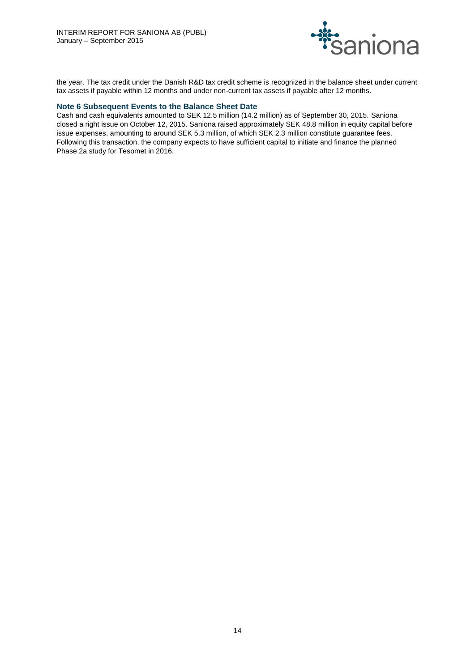

the year. The tax credit under the Danish R&D tax credit scheme is recognized in the balance sheet under current tax assets if payable within 12 months and under non-current tax assets if payable after 12 months.

# **Note 6 Subsequent Events to the Balance Sheet Date**

Cash and cash equivalents amounted to SEK 12.5 million (14.2 million) as of September 30, 2015. Saniona closed a right issue on October 12, 2015. Saniona raised approximately SEK 48.8 million in equity capital before issue expenses, amounting to around SEK 5.3 million, of which SEK 2.3 million constitute guarantee fees. Following this transaction, the company expects to have sufficient capital to initiate and finance the planned Phase 2a study for Tesomet in 2016.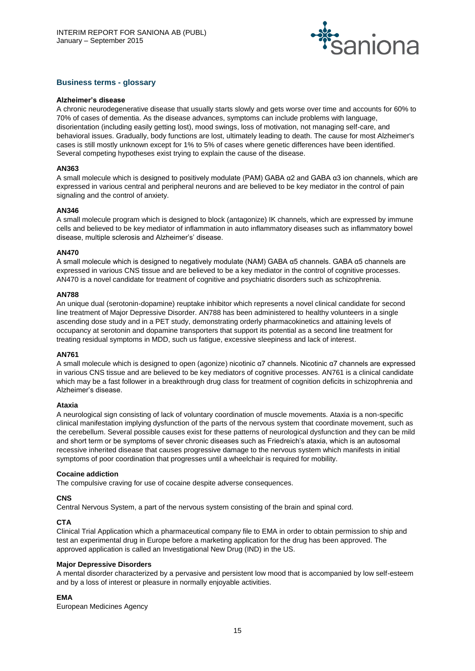

# **Business terms - glossary**

#### **Alzheimer's disease**

A chronic neurodegenerative disease that usually starts slowly and gets worse over time and accounts for 60% to 70% of cases of dementia. As the disease advances, symptoms can include problems with language, disorientation (including easily getting lost), mood swings, loss of motivation, not managing self-care, and behavioral issues. Gradually, body functions are lost, ultimately leading to death. The cause for most Alzheimer's cases is still mostly unknown except for 1% to 5% of cases where genetic differences have been identified. Several competing hypotheses exist trying to explain the cause of the disease.

## **AN363**

A small molecule which is designed to positively modulate (PAM) GABA α2 and GABA α3 ion channels, which are expressed in various central and peripheral neurons and are believed to be key mediator in the control of pain signaling and the control of anxiety.

## **AN346**

A small molecule program which is designed to block (antagonize) IK channels, which are expressed by immune cells and believed to be key mediator of inflammation in auto inflammatory diseases such as inflammatory bowel disease, multiple sclerosis and Alzheimer's' disease.

## **AN470**

A small molecule which is designed to negatively modulate (NAM) GABA α5 channels. GABA α5 channels are expressed in various CNS tissue and are believed to be a key mediator in the control of cognitive processes. AN470 is a novel candidate for treatment of cognitive and psychiatric disorders such as schizophrenia.

#### **AN788**

An unique dual (serotonin-dopamine) reuptake inhibitor which represents a novel clinical candidate for second line treatment of Major Depressive Disorder. AN788 has been administered to healthy volunteers in a single ascending dose study and in a PET study, demonstrating orderly pharmacokinetics and attaining levels of occupancy at serotonin and dopamine transporters that support its potential as a second line treatment for treating residual symptoms in MDD, such us fatigue, excessive sleepiness and lack of interest.

#### **AN761**

A small molecule which is designed to open (agonize) nicotinic α7 channels. Nicotinic α7 channels are expressed in various CNS tissue and are believed to be key mediators of cognitive processes. AN761 is a clinical candidate which may be a fast follower in a breakthrough drug class for treatment of cognition deficits in schizophrenia and Alzheimer's disease.

#### **Ataxia**

A neurological sign consisting of lack of voluntary coordination of muscle movements. Ataxia is a non-specific clinical manifestation implying dysfunction of the parts of the nervous system that coordinate movement, such as the cerebellum. Several possible causes exist for these patterns of neurological dysfunction and they can be mild and short term or be symptoms of sever chronic diseases such as Friedreich's ataxia, which is an autosomal recessive inherited disease that causes progressive damage to the nervous system which manifests in initial symptoms of poor coordination that progresses until a wheelchair is required for mobility.

#### **Cocaine addiction**

The compulsive craving for use of cocaine despite adverse consequences.

#### **CNS**

Central Nervous System, a part of the nervous system consisting of the brain and spinal cord.

# **CTA**

Clinical Trial Application which a pharmaceutical company file to EMA in order to obtain permission to ship and test an experimental drug in Europe before a marketing application for the drug has been approved. The approved application is called an Investigational New Drug (IND) in the US.

# **Major Depressive Disorders**

A mental disorder characterized by a pervasive and persistent low mood that is accompanied by low self-esteem and by a loss of interest or pleasure in normally enjoyable activities.

# **EMA**

European Medicines Agency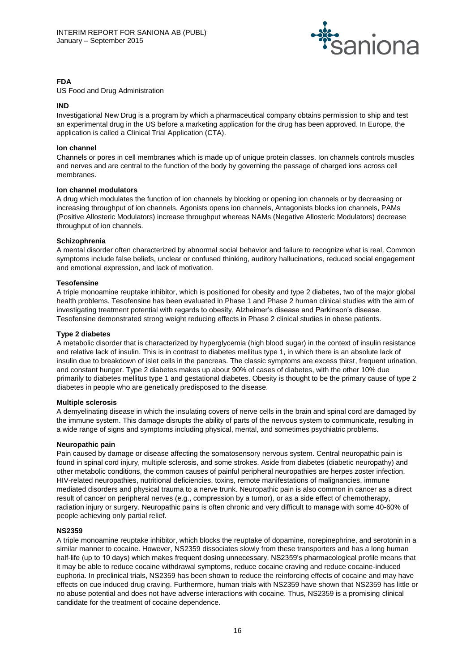

# **FDA**

US Food and Drug Administration

# **IND**

Investigational New Drug is a program by which a pharmaceutical company obtains permission to ship and test an experimental drug in the US before a marketing application for the drug has been approved. In Europe, the application is called a Clinical Trial Application (CTA).

# **Ion channel**

Channels or pores in cell membranes which is made up of unique protein classes. Ion channels controls muscles and nerves and are central to the function of the body by governing the passage of charged ions across cell membranes.

## **Ion channel modulators**

A drug which modulates the function of ion channels by blocking or opening ion channels or by decreasing or increasing throughput of ion channels. Agonists opens ion channels, Antagonists blocks ion channels, PAMs (Positive Allosteric Modulators) increase throughput whereas NAMs (Negative Allosteric Modulators) decrease throughput of ion channels.

## **Schizophrenia**

A mental disorder often characterized by abnormal social behavior and failure to recognize what is real. Common symptoms include false beliefs, unclear or confused thinking, auditory hallucinations, reduced social engagement and emotional expression, and lack of motivation.

## **Tesofensine**

A triple monoamine reuptake inhibitor, which is positioned for obesity and type 2 diabetes, two of the major global health problems. Tesofensine has been evaluated in Phase 1 and Phase 2 human clinical studies with the aim of investigating treatment potential with regards to obesity, Alzheimer's disease and Parkinson's disease. Tesofensine demonstrated strong weight reducing effects in Phase 2 clinical studies in obese patients.

## **Type 2 diabetes**

A metabolic disorder that is characterized by hyperglycemia (high blood sugar) in the context of insulin resistance and relative lack of insulin. This is in contrast to diabetes mellitus type 1, in which there is an absolute lack of insulin due to breakdown of islet cells in the pancreas. The classic symptoms are excess thirst, frequent urination, and constant hunger. Type 2 diabetes makes up about 90% of cases of diabetes, with the other 10% due primarily to diabetes mellitus type 1 and gestational diabetes. Obesity is thought to be the primary cause of type 2 diabetes in people who are genetically predisposed to the disease.

# **Multiple sclerosis**

A demyelinating disease in which the insulating covers of nerve cells in the brain and spinal cord are damaged by the immune system. This damage disrupts the ability of parts of the nervous system to communicate, resulting in a wide range of signs and symptoms including physical, mental, and sometimes psychiatric problems.

# **Neuropathic pain**

Pain caused by damage or disease affecting the somatosensory nervous system. Central neuropathic pain is found in spinal cord injury, multiple sclerosis, and some strokes. Aside from diabetes (diabetic neuropathy) and other metabolic conditions, the common causes of painful peripheral neuropathies are herpes zoster infection, HIV-related neuropathies, nutritional deficiencies, toxins, remote manifestations of malignancies, immune mediated disorders and physical trauma to a nerve trunk. Neuropathic pain is also common in cancer as a direct result of cancer on peripheral nerves (e.g., compression by a tumor), or as a side effect of chemotherapy, radiation injury or surgery. Neuropathic pains is often chronic and very difficult to manage with some 40-60% of people achieving only partial relief.

# **NS2359**

A triple monoamine reuptake inhibitor, which blocks the reuptake of dopamine, norepinephrine, and serotonin in a similar manner to cocaine. However, NS2359 dissociates slowly from these transporters and has a long human half-life (up to 10 days) which makes frequent dosing unnecessary. NS2359's pharmacological profile means that it may be able to reduce cocaine withdrawal symptoms, reduce cocaine craving and reduce cocaine-induced euphoria. In preclinical trials, NS2359 has been shown to reduce the reinforcing effects of cocaine and may have effects on cue induced drug craving. Furthermore, human trials with NS2359 have shown that NS2359 has little or no abuse potential and does not have adverse interactions with cocaine. Thus, NS2359 is a promising clinical candidate for the treatment of cocaine dependence.